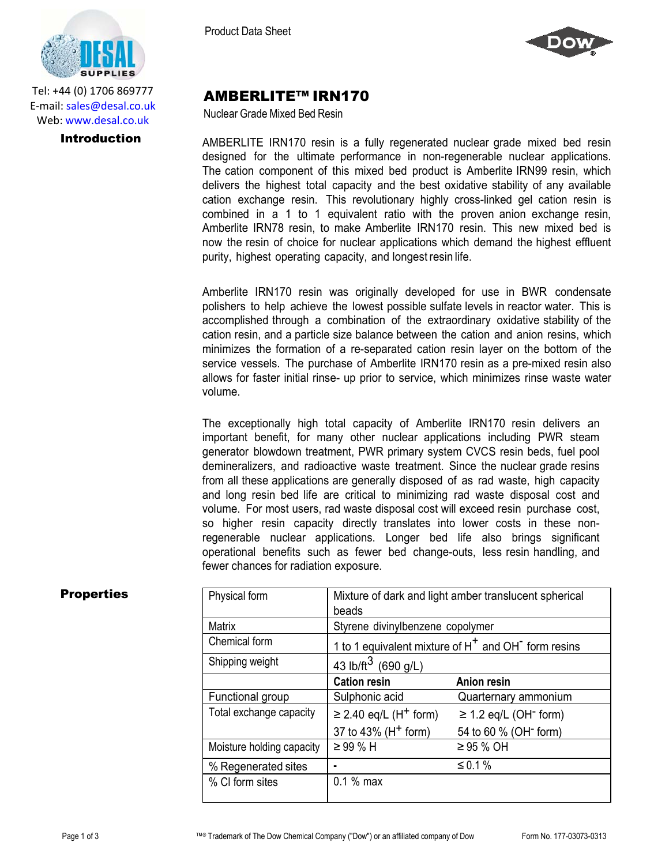

Tel: +44 (0) 1706 869777 E‐mail: sales@desal.co.uk Web: www.desal.co.uk

Product Data Sheet



# AMBERLITE™ IRN170

Nuclear Grade Mixed Bed Resin

**Introduction** AMBERLITE IRN170 resin is a fully regenerated nuclear grade mixed bed resin designed for the ultimate performance in non-regenerable nuclear applications. The cation component of this mixed bed product is Amberlite IRN99 resin, which delivers the highest total capacity and the best oxidative stability of any available cation exchange resin. This revolutionary highly cross-linked gel cation resin is combined in a 1 to 1 equivalent ratio with the proven anion exchange resin, Amberlite IRN78 resin, to make Amberlite IRN170 resin. This new mixed bed is now the resin of choice for nuclear applications which demand the highest effluent purity, highest operating capacity, and longest resin life.

> Amberlite IRN170 resin was originally developed for use in BWR condensate polishers to help achieve the lowest possible sulfate levels in reactor water. This is accomplished through a combination of the extraordinary oxidative stability of the cation resin, and a particle size balance between the cation and anion resins, which minimizes the formation of a re-separated cation resin layer on the bottom of the service vessels. The purchase of Amberlite IRN170 resin as a pre-mixed resin also allows for faster initial rinse- up prior to service, which minimizes rinse waste water volume.

The exceptionally high total capacity of Amberlite IRN170 resin delivers an important benefit, for many other nuclear applications including PWR steam generator blowdown treatment, PWR primary system CVCS resin beds, fuel pool demineralizers, and radioactive waste treatment. Since the nuclear grade resins from all these applications are generally disposed of as rad waste, high capacity and long resin bed life are critical to minimizing rad waste disposal cost and volume. For most users, rad waste disposal cost will exceed resin purchase cost, so higher resin capacity directly translates into lower costs in these nonregenerable nuclear applications. Longer bed life also brings significant operational benefits such as fewer bed change-outs, less resin handling, and fewer chances for radiation exposure.

| <b>Properties</b> | Physical form             | Mixture of dark and light amber translucent spherical<br>beads              |                                        |
|-------------------|---------------------------|-----------------------------------------------------------------------------|----------------------------------------|
|                   | Matrix                    | Styrene divinylbenzene copolymer                                            |                                        |
|                   | Chemical form             | 1 to 1 equivalent mixture of H <sup>+</sup> and OH <sup>-</sup> form resins |                                        |
|                   | Shipping weight           | 43 lb/ft <sup>3</sup> (690 g/L)                                             |                                        |
|                   |                           | <b>Cation resin</b>                                                         | <b>Anion resin</b>                     |
|                   | Functional group          | Sulphonic acid                                                              | Quarternary ammonium                   |
|                   | Total exchange capacity   | $\geq$ 2.40 eq/L (H <sup>+</sup> form)                                      | $\geq$ 1.2 eq/L (OH <sup>-</sup> form) |
|                   |                           | 37 to 43% (H <sup>+</sup> form)                                             | 54 to 60 % (OH <sup>-</sup> form)      |
|                   | Moisture holding capacity | $\geq$ 99 % H                                                               | $\geq$ 95 % OH                         |
|                   | % Regenerated sites       | $\blacksquare$                                                              | ≤ 0.1 %                                |
|                   | % CI form sites           | $0.1%$ max                                                                  |                                        |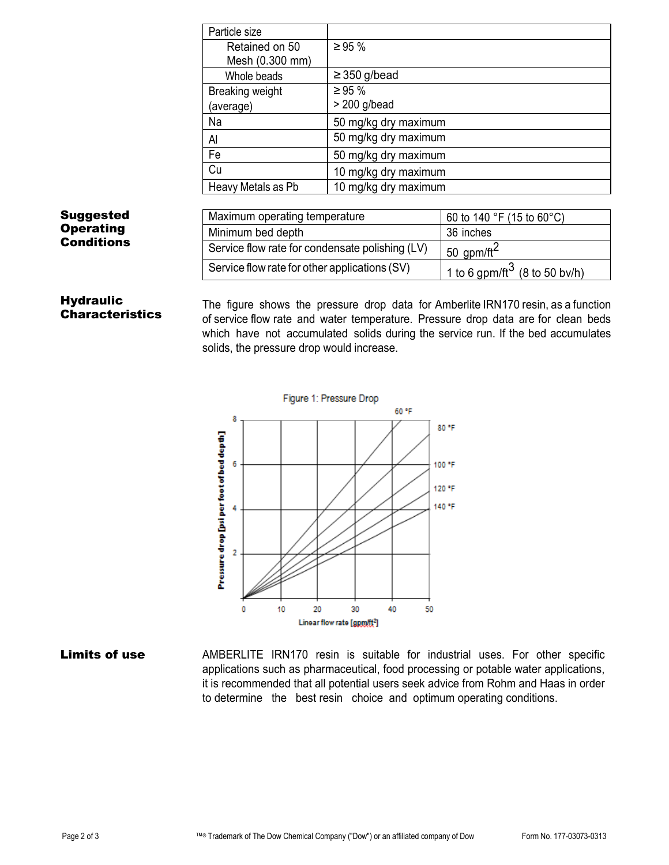| Particle size      |                      |
|--------------------|----------------------|
| Retained on 50     | $\geq 95 \%$         |
| Mesh (0.300 mm)    |                      |
| Whole beads        | $\geq$ 350 g/bead    |
| Breaking weight    | $\geq 95 \%$         |
| (average)          | $> 200$ g/bead       |
| Na                 | 50 mg/kg dry maximum |
| Al                 | 50 mg/kg dry maximum |
| Fe                 | 50 mg/kg dry maximum |
| Cu                 | 10 mg/kg dry maximum |
| Heavy Metals as Pb | 10 mg/kg dry maximum |

## Suggested **Operating** Conditions

| Maximum operating temperature                   | 60 to 140 °F (15 to 60 °C)                |
|-------------------------------------------------|-------------------------------------------|
| Minimum bed depth                               | 36 inches                                 |
| Service flow rate for condensate polishing (LV) | 50 gpm/ft $^2$                            |
| Service flow rate for other applications (SV)   | 1 to 6 gpm/ft <sup>3</sup> (8 to 50 bv/h) |

### **Hydraulic Characteristics**

The figure shows the pressure drop data for Amberlite IRN170 resin, as a function of service flow rate and water temperature. Pressure drop data are for clean beds which have not accumulated solids during the service run. If the bed accumulates solids, the pressure drop would increase.



# **Limits of use** AMBERLITE IRN170 resin is suitable for industrial uses. For other specific applications such as pharmaceutical, food processing or potable water applications, it is recommended that all potential users seek advice from Rohm and Haas in order to determine the best resin choice and optimum operating conditions.